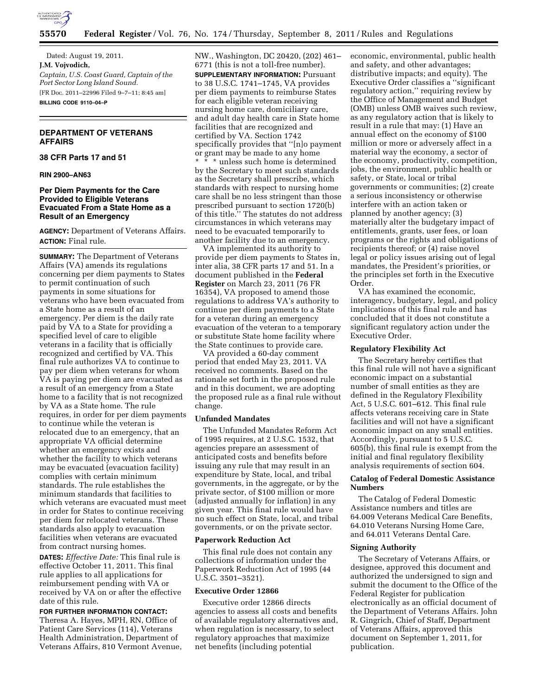

Dated: August 19, 2011. **J.M. Vojvodich,**  *Captain, U.S. Coast Guard, Captain of the Port Sector Long Island Sound.*  [FR Doc. 2011–22996 Filed 9–7–11; 8:45 am] **BILLING CODE 9110–04–P** 

# **DEPARTMENT OF VETERANS AFFAIRS**

### **38 CFR Parts 17 and 51**

# **RIN 2900–AN63**

# **Per Diem Payments for the Care Provided to Eligible Veterans Evacuated From a State Home as a Result of an Emergency**

**AGENCY:** Department of Veterans Affairs. **ACTION:** Final rule.

**SUMMARY:** The Department of Veterans Affairs (VA) amends its regulations concerning per diem payments to States to permit continuation of such payments in some situations for veterans who have been evacuated from a State home as a result of an emergency. Per diem is the daily rate paid by VA to a State for providing a specified level of care to eligible veterans in a facility that is officially recognized and certified by VA. This final rule authorizes VA to continue to pay per diem when veterans for whom VA is paying per diem are evacuated as a result of an emergency from a State home to a facility that is not recognized by VA as a State home. The rule requires, in order for per diem payments to continue while the veteran is relocated due to an emergency, that an appropriate VA official determine whether an emergency exists and whether the facility to which veterans may be evacuated (evacuation facility) complies with certain minimum standards. The rule establishes the minimum standards that facilities to which veterans are evacuated must meet in order for States to continue receiving per diem for relocated veterans. These standards also apply to evacuation facilities when veterans are evacuated from contract nursing homes.

**DATES:** *Effective Date:* This final rule is effective October 11, 2011. This final rule applies to all applications for reimbursement pending with VA or received by VA on or after the effective date of this rule.

## **FOR FURTHER INFORMATION CONTACT:**

Theresa A. Hayes, MPH, RN, Office of Patient Care Services (114), Veterans Health Administration, Department of Veterans Affairs, 810 Vermont Avenue, NW., Washington, DC 20420, (202) 461– 6771 (this is not a toll-free number). **SUPPLEMENTARY INFORMATION:** Pursuant to 38 U.S.C. 1741–1745, VA provides per diem payments to reimburse States for each eligible veteran receiving nursing home care, domiciliary care, and adult day health care in State home facilities that are recognized and certified by VA. Section 1742 specifically provides that ''[n]o payment or grant may be made to any home

\* \* \* unless such home is determined by the Secretary to meet such standards as the Secretary shall prescribe, which standards with respect to nursing home care shall be no less stringent than those prescribed pursuant to section 1720(b) of this title.'' The statutes do not address circumstances in which veterans may need to be evacuated temporarily to another facility due to an emergency.

VA implemented its authority to provide per diem payments to States in, inter alia, 38 CFR parts 17 and 51. In a document published in the **Federal Register** on March 23, 2011 (76 FR 16354), VA proposed to amend those regulations to address VA's authority to continue per diem payments to a State for a veteran during an emergency evacuation of the veteran to a temporary or substitute State home facility where the State continues to provide care.

VA provided a 60-day comment period that ended May 23, 2011. VA received no comments. Based on the rationale set forth in the proposed rule and in this document, we are adopting the proposed rule as a final rule without change.

## **Unfunded Mandates**

The Unfunded Mandates Reform Act of 1995 requires, at 2 U.S.C. 1532, that agencies prepare an assessment of anticipated costs and benefits before issuing any rule that may result in an expenditure by State, local, and tribal governments, in the aggregate, or by the private sector, of \$100 million or more (adjusted annually for inflation) in any given year. This final rule would have no such effect on State, local, and tribal governments, or on the private sector.

#### **Paperwork Reduction Act**

This final rule does not contain any collections of information under the Paperwork Reduction Act of 1995 (44 U.S.C. 3501–3521).

#### **Executive Order 12866**

Executive order 12866 directs agencies to assess all costs and benefits of available regulatory alternatives and, when regulation is necessary, to select regulatory approaches that maximize net benefits (including potential

economic, environmental, public health and safety, and other advantages; distributive impacts; and equity). The Executive Order classifies a ''significant regulatory action,'' requiring review by the Office of Management and Budget (OMB) unless OMB waives such review, as any regulatory action that is likely to result in a rule that may: (1) Have an annual effect on the economy of \$100 million or more or adversely affect in a material way the economy, a sector of the economy, productivity, competition, jobs, the environment, public health or safety, or State, local or tribal governments or communities; (2) create a serious inconsistency or otherwise interfere with an action taken or planned by another agency; (3) materially alter the budgetary impact of entitlements, grants, user fees, or loan programs or the rights and obligations of recipients thereof; or (4) raise novel legal or policy issues arising out of legal mandates, the President's priorities, or the principles set forth in the Executive Order.

VA has examined the economic, interagency, budgetary, legal, and policy implications of this final rule and has concluded that it does not constitute a significant regulatory action under the Executive Order.

# **Regulatory Flexibility Act**

The Secretary hereby certifies that this final rule will not have a significant economic impact on a substantial number of small entities as they are defined in the Regulatory Flexibility Act, 5 U.S.C. 601–612. This final rule affects veterans receiving care in State facilities and will not have a significant economic impact on any small entities. Accordingly, pursuant to 5 U.S.C. 605(b), this final rule is exempt from the initial and final regulatory flexibility analysis requirements of section 604.

# **Catalog of Federal Domestic Assistance Numbers**

The Catalog of Federal Domestic Assistance numbers and titles are 64.009 Veterans Medical Care Benefits, 64.010 Veterans Nursing Home Care, and 64.011 Veterans Dental Care.

# **Signing Authority**

The Secretary of Veterans Affairs, or designee, approved this document and authorized the undersigned to sign and submit the document to the Office of the Federal Register for publication electronically as an official document of the Department of Veterans Affairs. John R. Gingrich, Chief of Staff, Department of Veterans Affairs, approved this document on September 1, 2011, for publication.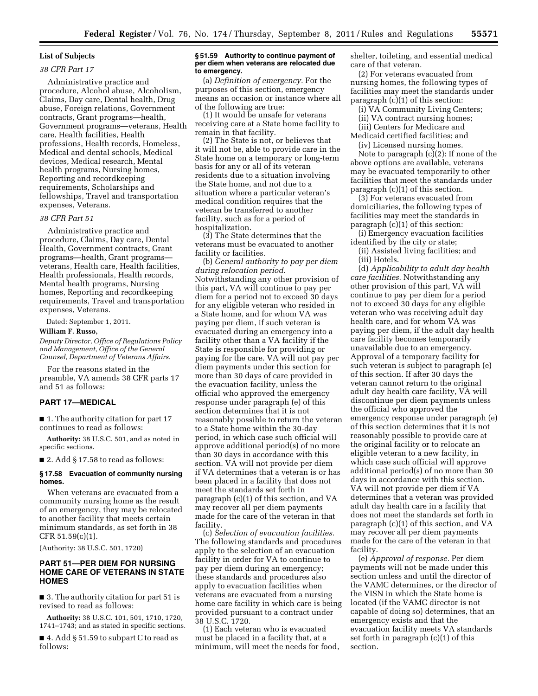#### **List of Subjects**

## *38 CFR Part 17*

Administrative practice and procedure, Alcohol abuse, Alcoholism, Claims, Day care, Dental health, Drug abuse, Foreign relations, Government contracts, Grant programs—health, Government programs—veterans, Health care, Health facilities, Health professions, Health records, Homeless, Medical and dental schools, Medical devices, Medical research, Mental health programs, Nursing homes, Reporting and recordkeeping requirements, Scholarships and fellowships, Travel and transportation expenses, Veterans.

#### *38 CFR Part 51*

Administrative practice and procedure, Claims, Day care, Dental Health, Government contracts, Grant programs—health, Grant programs veterans, Health care, Health facilities, Health professionals, Health records, Mental health programs, Nursing homes, Reporting and recordkeeping requirements, Travel and transportation expenses, Veterans.

Dated: September 1, 2011.

#### **William F. Russo,**

*Deputy Director, Office of Regulations Policy and Management, Office of the General Counsel, Department of Veterans Affairs.* 

For the reasons stated in the preamble, VA amends 38 CFR parts 17 and 51 as follows:

#### **PART 17—MEDICAL**

■ 1. The authority citation for part 17 continues to read as follows:

**Authority:** 38 U.S.C. 501, and as noted in specific sections.

 $\blacksquare$  2. Add § 17.58 to read as follows:

#### **§ 17.58 Evacuation of community nursing homes.**

When veterans are evacuated from a community nursing home as the result of an emergency, they may be relocated to another facility that meets certain minimum standards, as set forth in 38 CFR 51.59(c)(1).

(Authority: 38 U.S.C. 501, 1720)

# **PART 51—PER DIEM FOR NURSING HOME CARE OF VETERANS IN STATE HOMES**

■ 3. The authority citation for part 51 is revised to read as follows:

**Authority:** 38 U.S.C. 101, 501, 1710, 1720, 1741–1743; and as stated in specific sections.

■ 4. Add § 51.59 to subpart C to read as follows:

## **§ 51.59 Authority to continue payment of per diem when veterans are relocated due to emergency.**

(a) *Definition of emergency.* For the purposes of this section, emergency means an occasion or instance where all of the following are true:

(1) It would be unsafe for veterans receiving care at a State home facility to remain in that facility.

(2) The State is not, or believes that it will not be, able to provide care in the State home on a temporary or long-term basis for any or all of its veteran residents due to a situation involving the State home, and not due to a situation where a particular veteran's medical condition requires that the veteran be transferred to another facility, such as for a period of hospitalization.

(3) The State determines that the veterans must be evacuated to another facility or facilities.

(b) *General authority to pay per diem during relocation period.*  Notwithstanding any other provision of this part, VA will continue to pay per diem for a period not to exceed 30 days for any eligible veteran who resided in a State home, and for whom VA was paying per diem, if such veteran is evacuated during an emergency into a facility other than a VA facility if the State is responsible for providing or paying for the care. VA will not pay per diem payments under this section for more than 30 days of care provided in the evacuation facility, unless the official who approved the emergency response under paragraph (e) of this section determines that it is not reasonably possible to return the veteran to a State home within the 30-day period, in which case such official will approve additional period(s) of no more than 30 days in accordance with this section. VA will not provide per diem if VA determines that a veteran is or has been placed in a facility that does not meet the standards set forth in paragraph (c)(1) of this section, and VA may recover all per diem payments made for the care of the veteran in that facility.

(c) *Selection of evacuation facilities.*  The following standards and procedures apply to the selection of an evacuation facility in order for VA to continue to pay per diem during an emergency; these standards and procedures also apply to evacuation facilities when veterans are evacuated from a nursing home care facility in which care is being provided pursuant to a contract under 38 U.S.C. 1720.

(1) Each veteran who is evacuated must be placed in a facility that, at a minimum, will meet the needs for food, shelter, toileting, and essential medical care of that veteran.

(2) For veterans evacuated from nursing homes, the following types of facilities may meet the standards under paragraph (c)(1) of this section:

(i) VA Community Living Centers;

(ii) VA contract nursing homes;

(iii) Centers for Medicare and Medicaid certified facilities; and

(iv) Licensed nursing homes.

Note to paragraph  $(c)(2)$ : If none of the above options are available, veterans may be evacuated temporarily to other facilities that meet the standards under paragraph (c)(1) of this section.

(3) For veterans evacuated from domiciliaries, the following types of facilities may meet the standards in paragraph (c)(1) of this section:

(i) Emergency evacuation facilities identified by the city or state;

(ii) Assisted living facilities; and (iii) Hotels.

(d) *Applicability to adult day health care facilities.* Notwithstanding any other provision of this part, VA will continue to pay per diem for a period not to exceed 30 days for any eligible veteran who was receiving adult day health care, and for whom VA was paying per diem, if the adult day health care facility becomes temporarily unavailable due to an emergency. Approval of a temporary facility for such veteran is subject to paragraph (e) of this section. If after 30 days the veteran cannot return to the original adult day health care facility, VA will discontinue per diem payments unless the official who approved the emergency response under paragraph (e) of this section determines that it is not reasonably possible to provide care at the original facility or to relocate an eligible veteran to a new facility, in which case such official will approve additional period(s) of no more than 30 days in accordance with this section. VA will not provide per diem if VA determines that a veteran was provided adult day health care in a facility that does not meet the standards set forth in paragraph (c)(1) of this section, and VA may recover all per diem payments made for the care of the veteran in that facility.

(e) *Approval of response.* Per diem payments will not be made under this section unless and until the director of the VAMC determines, or the director of the VISN in which the State home is located (if the VAMC director is not capable of doing so) determines, that an emergency exists and that the evacuation facility meets VA standards set forth in paragraph (c)(1) of this section.